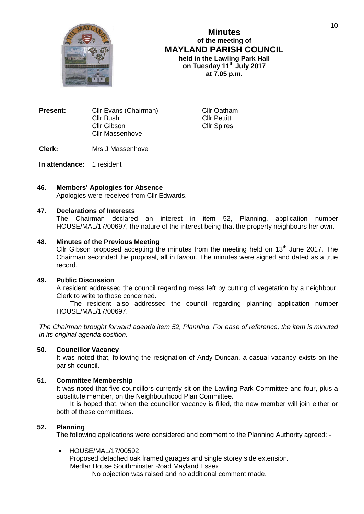

**Minutes of the meeting of MAYLAND PARISH COUNCIL held in the Lawling Park Hall on Tuesday 11th July 2017 at 7.05 p.m.**

> **Cllr Oatham** Cllr Pettitt Cllr Spires

| <b>Present:</b> | Cllr Evans (Chairman)  |  |
|-----------------|------------------------|--|
|                 | Cllr Bush              |  |
|                 | Cllr Gibson            |  |
|                 | <b>Cllr Massenhove</b> |  |
|                 |                        |  |

**Clerk:** Mrs J Massenhove

**In attendance:** 1 resident

# **46. Members' Apologies for Absence**

Apologies were received from Cllr Edwards.

## **47. Declarations of Interests**

The Chairman declared an interest in item 52, Planning, application number HOUSE/MAL/17/00697, the nature of the interest being that the property neighbours her own.

## **48. Minutes of the Previous Meeting**

Cllr Gibson proposed accepting the minutes from the meeting held on  $13<sup>th</sup>$  June 2017. The Chairman seconded the proposal, all in favour. The minutes were signed and dated as a true record.

# **49. Public Discussion**

A resident addressed the council regarding mess left by cutting of vegetation by a neighbour. Clerk to write to those concerned.

The resident also addressed the council regarding planning application number HOUSE/MAL/17/00697.

*The Chairman brought forward agenda item 52, Planning. For ease of reference, the item is minuted in its original agenda position.*

# **50. Councillor Vacancy**

It was noted that, following the resignation of Andy Duncan, a casual vacancy exists on the parish council.

## **51. Committee Membership**

It was noted that five councillors currently sit on the Lawling Park Committee and four, plus a substitute member, on the Neighbourhood Plan Committee.

It is hoped that, when the councillor vacancy is filled, the new member will join either or both of these committees.

# **52. Planning**

The following applications were considered and comment to the Planning Authority agreed: -

## • HOUSE/MAL/17/00592

Proposed detached oak framed garages and single storey side extension. Medlar House Southminster Road Mayland Essex No objection was raised and no additional comment made.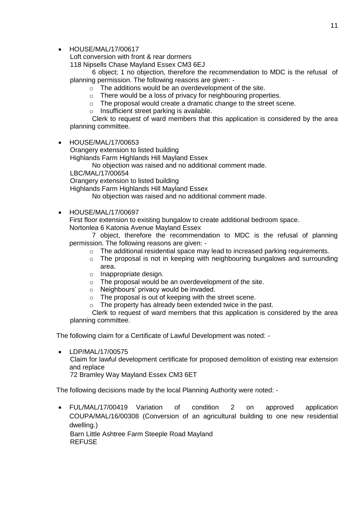• HOUSE/MAL/17/00617

Loft conversion with front & rear dormers

118 Nipsells Chase Mayland Essex CM3 6EJ

6 object; 1 no objection, therefore the recommendation to MDC is the refusal of planning permission. The following reasons are given: -

- o The additions would be an overdevelopment of the site.
- o There would be a loss of privacy for neighbouring properties.
- o The proposal would create a dramatic change to the street scene.
- o Insufficient street parking is available.

Clerk to request of ward members that this application is considered by the area planning committee.

• HOUSE/MAL/17/00653

Orangery extension to listed building

Highlands Farm Highlands Hill Mayland Essex

No objection was raised and no additional comment made.

LBC/MAL/17/00654

Orangery extension to listed building

Highlands Farm Highlands Hill Mayland Essex

No objection was raised and no additional comment made.

• HOUSE/MAL/17/00697

First floor extension to existing bungalow to create additional bedroom space. Nortonlea 6 Katonia Avenue Mayland Essex

7 object, therefore the recommendation to MDC is the refusal of planning permission. The following reasons are given: -

- o The additional residential space may lead to increased parking requirements.
- $\circ$  The proposal is not in keeping with neighbouring bungalows and surrounding area.
- o Inappropriate design.
- o The proposal would be an overdevelopment of the site.
- o Neighbours' privacy would be invaded.
- $\circ$  The proposal is out of keeping with the street scene.<br> $\circ$  The property has already been extended twice in the
- The property has already been extended twice in the past.

Clerk to request of ward members that this application is considered by the area planning committee.

The following claim for a Certificate of Lawful Development was noted: -

• LDP/MAL/17/00575 Claim for lawful development certificate for proposed demolition of existing rear extension and replace 72 Bramley Way Mayland Essex CM3 6ET

The following decisions made by the local Planning Authority were noted: -

 FUL/MAL/17/00419 Variation of condition 2 on approved application COUPA/MAL/16/00308 (Conversion of an agricultural building to one new residential dwelling.) Barn Little Ashtree Farm Steeple Road Mayland **REFUSE**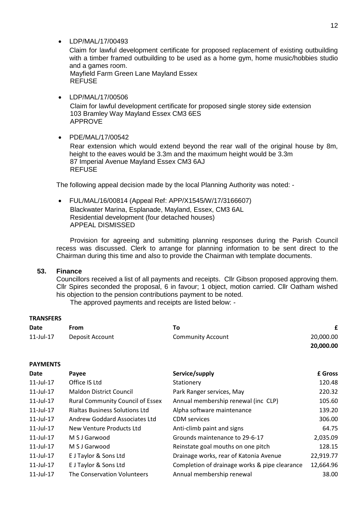LDP/MAL/17/00493

Claim for lawful development certificate for proposed replacement of existing outbuilding with a timber framed outbuilding to be used as a home gym, home music/hobbies studio and a games room.

Mayfield Farm Green Lane Mayland Essex **REFUSE** 

LDP/MAL/17/00506

Claim for lawful development certificate for proposed single storey side extension 103 Bramley Way Mayland Essex CM3 6ES APPROVE

• PDE/MAL/17/00542

Rear extension which would extend beyond the rear wall of the original house by 8m, height to the eaves would be 3.3m and the maximum height would be 3.3m 87 Imperial Avenue Mayland Essex CM3 6AJ **REFUSE** 

The following appeal decision made by the local Planning Authority was noted: -

 FUL/MAL/16/00814 (Appeal Ref: APP/X1545/W/17/3166607) Blackwater Marina, Esplanade, Mayland, Essex, CM3 6AL Residential development (four detached houses) APPEAL DISMISSED

Provision for agreeing and submitting planning responses during the Parish Council recess was discussed. Clerk to arrange for planning information to be sent direct to the Chairman during this time and also to provide the Chairman with template documents.

# **53. Finance**

Councillors received a list of all payments and receipts. Cllr Gibson proposed approving them. Cllr Spires seconded the proposal, 6 in favour; 1 object, motion carried. Cllr Oatham wished his objection to the pension contributions payment to be noted.

The approved payments and receipts are listed below: -

## **TRANSFERS**

| Date         | From            |                          |           |
|--------------|-----------------|--------------------------|-----------|
| $11$ -Jul-17 | Deposit Account | <b>Community Account</b> | 20,000.00 |
|              |                 |                          | 20,000.00 |

# **PAYMENTS**

| Date            | Payee                                   | Service/supply                                | £ Gross   |
|-----------------|-----------------------------------------|-----------------------------------------------|-----------|
| $11$ -Jul- $17$ | Office IS Ltd                           | Stationery                                    | 120.48    |
| $11$ -Jul- $17$ | <b>Maldon District Council</b>          | Park Ranger services, May                     | 220.32    |
| 11-Jul-17       | <b>Rural Community Council of Essex</b> | Annual membership renewal (inc CLP)           | 105.60    |
| 11-Jul-17       | <b>Rialtas Business Solutions Ltd</b>   | Alpha software maintenance                    | 139.20    |
| $11$ -Jul- $17$ | Andrew Goddard Associates Ltd           | <b>CDM</b> services                           | 306.00    |
| $11$ -Jul- $17$ | New Venture Products Ltd                | Anti-climb paint and signs                    | 64.75     |
| 11-Jul-17       | M S J Garwood                           | Grounds maintenance to 29-6-17                | 2,035.09  |
| $11$ -Jul- $17$ | M S J Garwood                           | Reinstate goal mouths on one pitch            | 128.15    |
| $11$ -Jul- $17$ | E J Taylor & Sons Ltd                   | Drainage works, rear of Katonia Avenue        | 22,919.77 |
| 11-Jul-17       | E J Taylor & Sons Ltd                   | Completion of drainage works & pipe clearance | 12,664.96 |
| 11-Jul-17       | The Conservation Volunteers             | Annual membership renewal                     | 38.00     |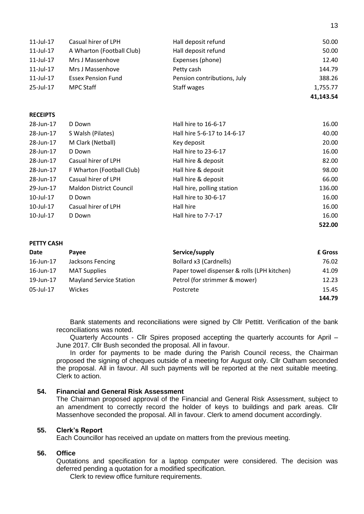| $11$ -Jul-17 | Casual hirer of LPH       | Hall deposit refund         | 50.00     |
|--------------|---------------------------|-----------------------------|-----------|
| $11$ -Jul-17 | A Wharton (Football Club) | Hall deposit refund         | 50.00     |
| $11$ -Jul-17 | Mrs J Massenhove          | Expenses (phone)            | 12.40     |
| 11-Jul-17    | Mrs J Massenhove          | Petty cash                  | 144.79    |
| $11$ -Jul-17 | <b>Essex Pension Fund</b> | Pension contributions, July | 388.26    |
| $25$ -Jul-17 | <b>MPC Staff</b>          | Staff wages                 | 1,755.77  |
|              |                           |                             | 41,143.54 |

13

#### **RECEIPTS**

| 28-Jun-17       | D Down                         | Hall hire to 16-6-17        | 16.00  |
|-----------------|--------------------------------|-----------------------------|--------|
| 28-Jun-17       | S Walsh (Pilates)              | Hall hire 5-6-17 to 14-6-17 | 40.00  |
| 28-Jun-17       | M Clark (Netball)              | Key deposit                 | 20.00  |
| 28-Jun-17       | D Down                         | Hall hire to 23-6-17        | 16.00  |
| 28-Jun-17       | Casual hirer of LPH            | Hall hire & deposit         | 82.00  |
| 28-Jun-17       | F Wharton (Football Club)      | Hall hire & deposit         | 98.00  |
| 28-Jun-17       | Casual hirer of LPH            | Hall hire & deposit         | 66.00  |
| 29-Jun-17       | <b>Maldon District Council</b> | Hall hire, polling station  | 136.00 |
| 10-Jul-17       | D Down                         | Hall hire to 30-6-17        | 16.00  |
| 10-Jul-17       | Casual hirer of LPH            | Hall hire                   | 16.00  |
| $10$ -Jul- $17$ | D Down                         | Hall hire to 7-7-17         | 16.00  |
|                 |                                |                             | 522.00 |

#### **PETTY CASH**

| Date      | Pavee                          | Service/supply                              | <b>£</b> Gross |
|-----------|--------------------------------|---------------------------------------------|----------------|
| 16-Jun-17 | Jacksons Fencing               | Bollard x3 (Cardnells)                      | 76.02          |
| 16-Jun-17 | <b>MAT Supplies</b>            | Paper towel dispenser & rolls (LPH kitchen) | 41.09          |
| 19-Jun-17 | <b>Mayland Service Station</b> | Petrol (for strimmer & mower)               | 12.23          |
| 05-Jul-17 | Wickes                         | Postcrete                                   | 15.45          |
|           |                                |                                             | 144.79         |

Bank statements and reconciliations were signed by Cllr Pettitt. Verification of the bank reconciliations was noted.

Quarterly Accounts - Cllr Spires proposed accepting the quarterly accounts for April – June 2017. Cllr Bush seconded the proposal. All in favour.

In order for payments to be made during the Parish Council recess, the Chairman proposed the signing of cheques outside of a meeting for August only. Cllr Oatham seconded the proposal. All in favour. All such payments will be reported at the next suitable meeting. Clerk to action.

# **54. Financial and General Risk Assessment**

The Chairman proposed approval of the Financial and General Risk Assessment, subject to an amendment to correctly record the holder of keys to buildings and park areas. Cllr Massenhove seconded the proposal. All in favour. Clerk to amend document accordingly.

# **55. Clerk's Report**

Each Councillor has received an update on matters from the previous meeting.

#### **56. Office**

Quotations and specification for a laptop computer were considered. The decision was deferred pending a quotation for a modified specification.

Clerk to review office furniture requirements.